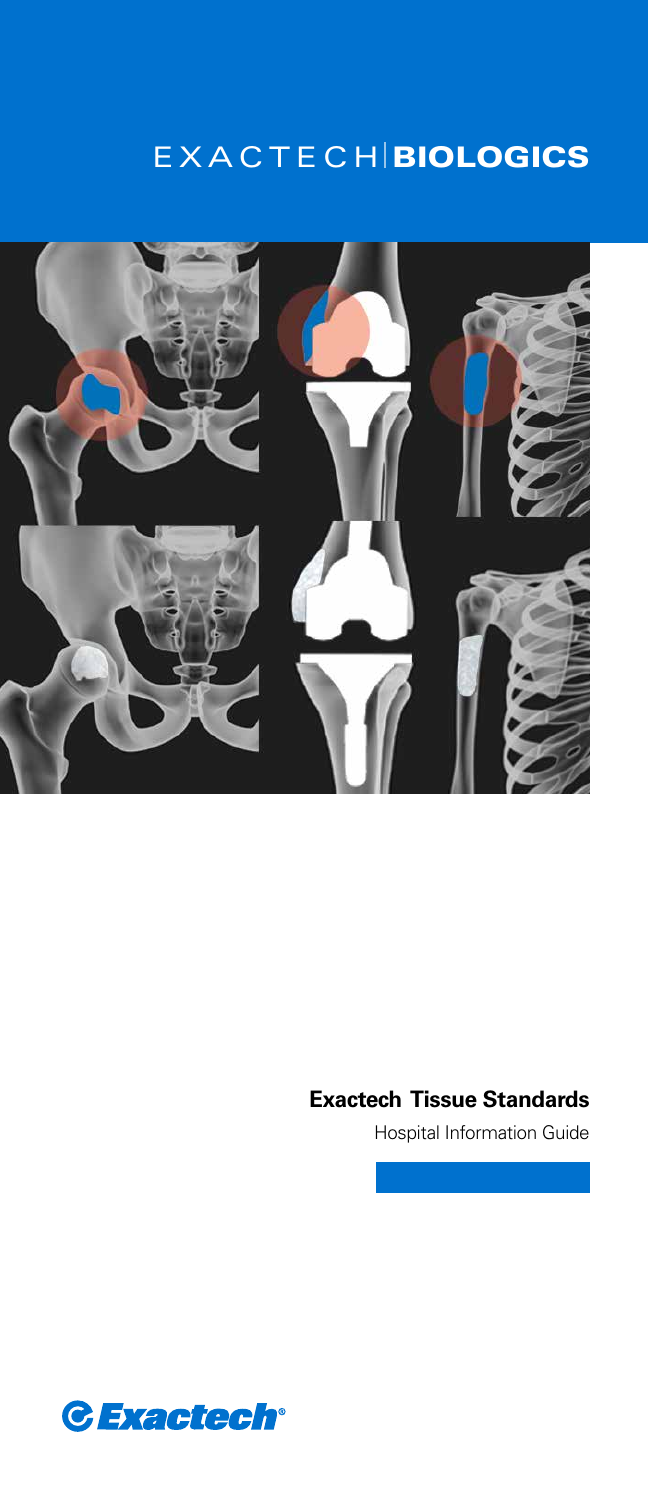# **EXACTECH BIOLOGICS**



#### **Exactech Tissue Standards**

Hospital Information Guide

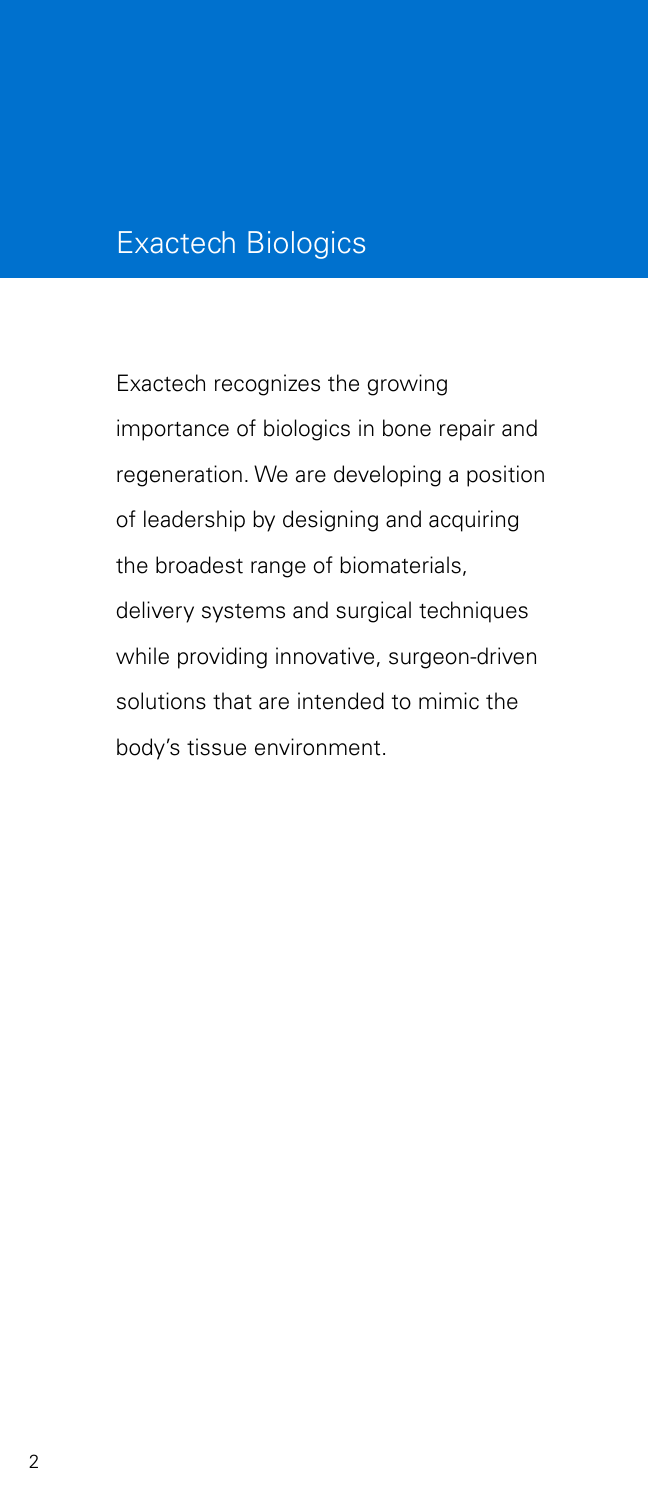## Exactech Biologics

Exactech recognizes the growing importance of biologics in bone repair and regeneration. We are developing a position of leadership by designing and acquiring the broadest range of biomaterials, delivery systems and surgical techniques while providing innovative, surgeon-driven solutions that are intended to mimic the body's tissue environment.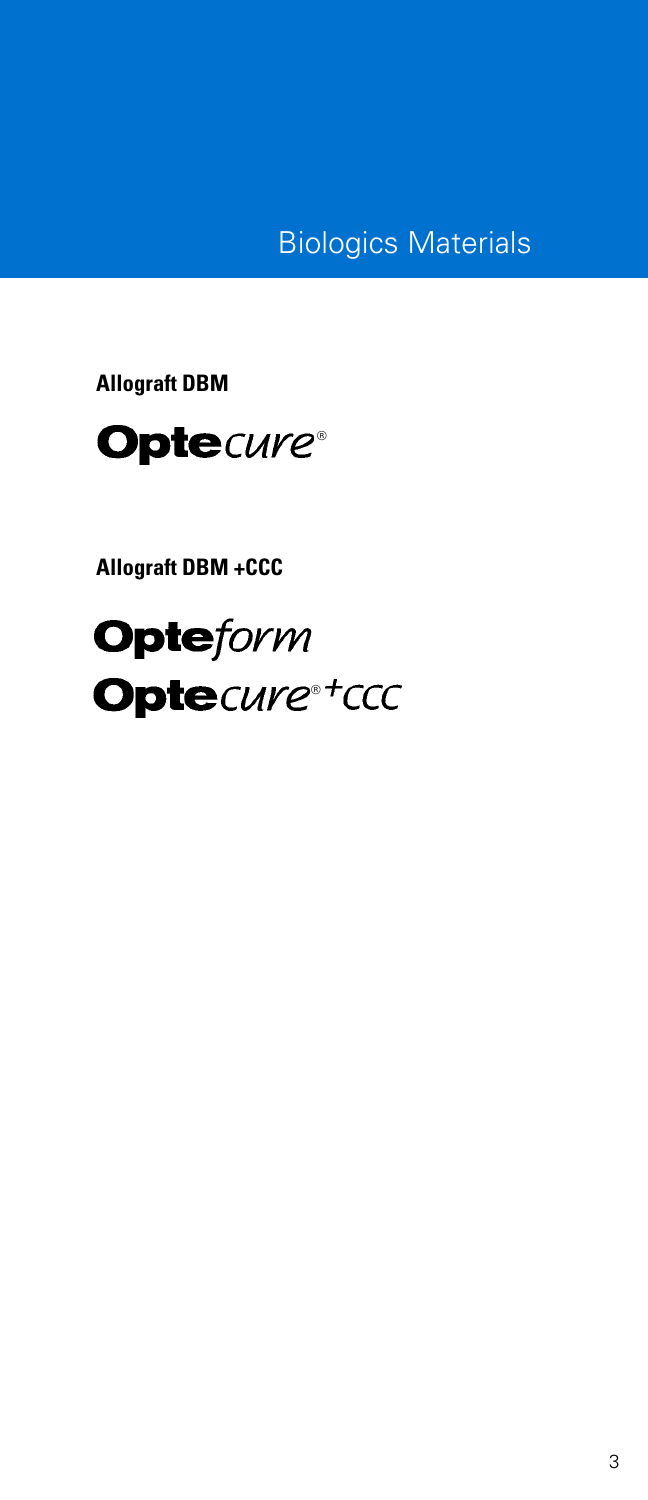Biologics Materials

**Allograft DBM**



**Allograft DBM +CCC**

**Opteform** Optecure®+ccc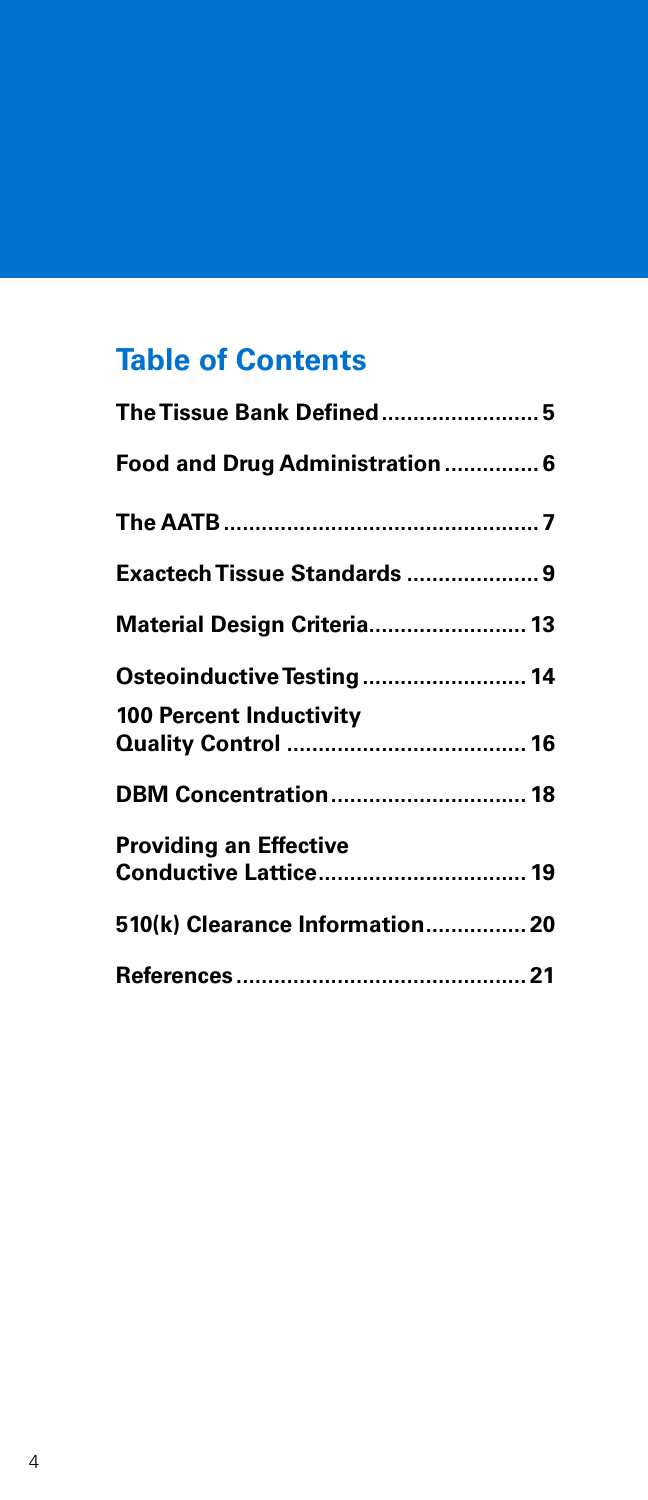## **Table of Contents**

| The Tissue Bank Defined 5       |
|---------------------------------|
| Food and Drug Administration  6 |
|                                 |
| Exactech Tissue Standards  9    |
| Material Design Criteria 13     |
| Osteoinductive Testing 14       |
| <b>100 Percent Inductivity</b>  |
| <b>DBM Concentration 18</b>     |
| <b>Providing an Effective</b>   |
| 510(k) Clearance Information 20 |
|                                 |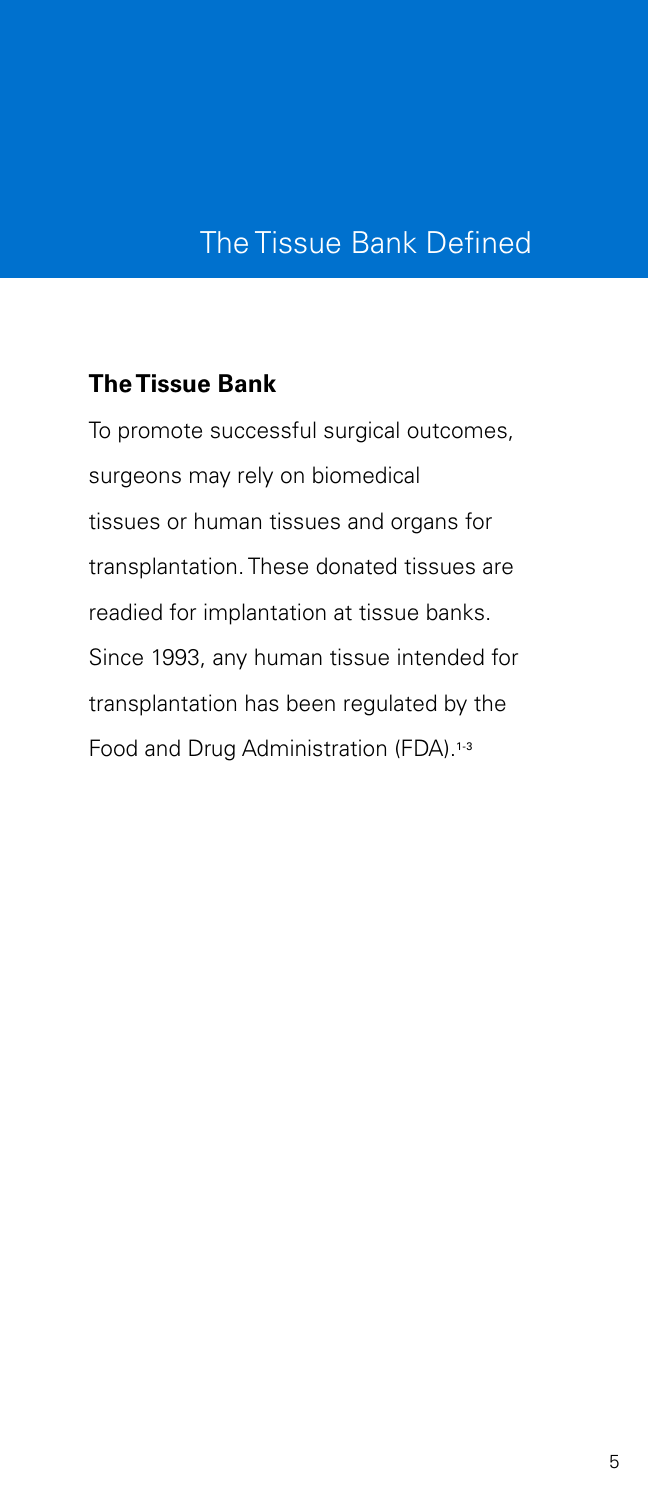### The Tissue Bank Defined

#### **The Tissue Bank**

To promote successful surgical outcomes, surgeons may rely on biomedical tissues or human tissues and organs for transplantation. These donated tissues are readied for implantation at tissue banks. Since 1993, any human tissue intended for transplantation has been regulated by the Food and Drug Administration (FDA).<sup>1-3</sup>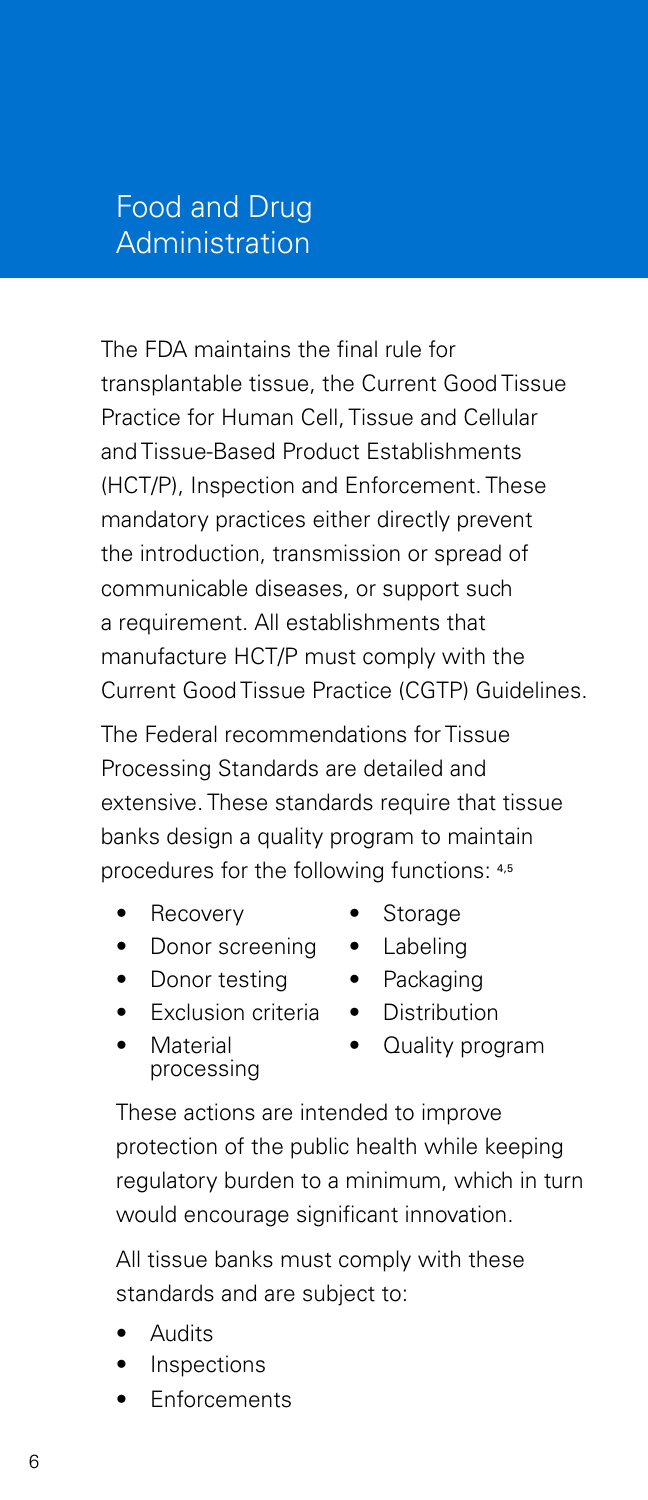### Food and Drug Administration

The FDA maintains the final rule for transplantable tissue, the Current Good Tissue Practice for Human Cell, Tissue and Cellular and Tissue-Based Product Establishments (HCT/P), Inspection and Enforcement. These mandatory practices either directly prevent the introduction, transmission or spread of communicable diseases, or support such a requirement. All establishments that manufacture HCT/P must comply with the Current Good Tissue Practice (CGTP) Guidelines.

The Federal recommendations for Tissue Processing Standards are detailed and extensive. These standards require that tissue banks design a quality program to maintain procedures for the following functions: 4,5

- **Recovery**
- Donor screening
- Donor testing
- **Exclusion criteria**
- **Material** processing
- These actions are intended to improve protection of the public health while keeping regulatory burden to a minimum, which in turn would encourage significant innovation.

All tissue banks must comply with these standards and are subject to:

- **Audits**
- **Inspections**
- **Enforcements**
- **Storage**
- Labeling
- Packaging
- Distribution
	- Quality program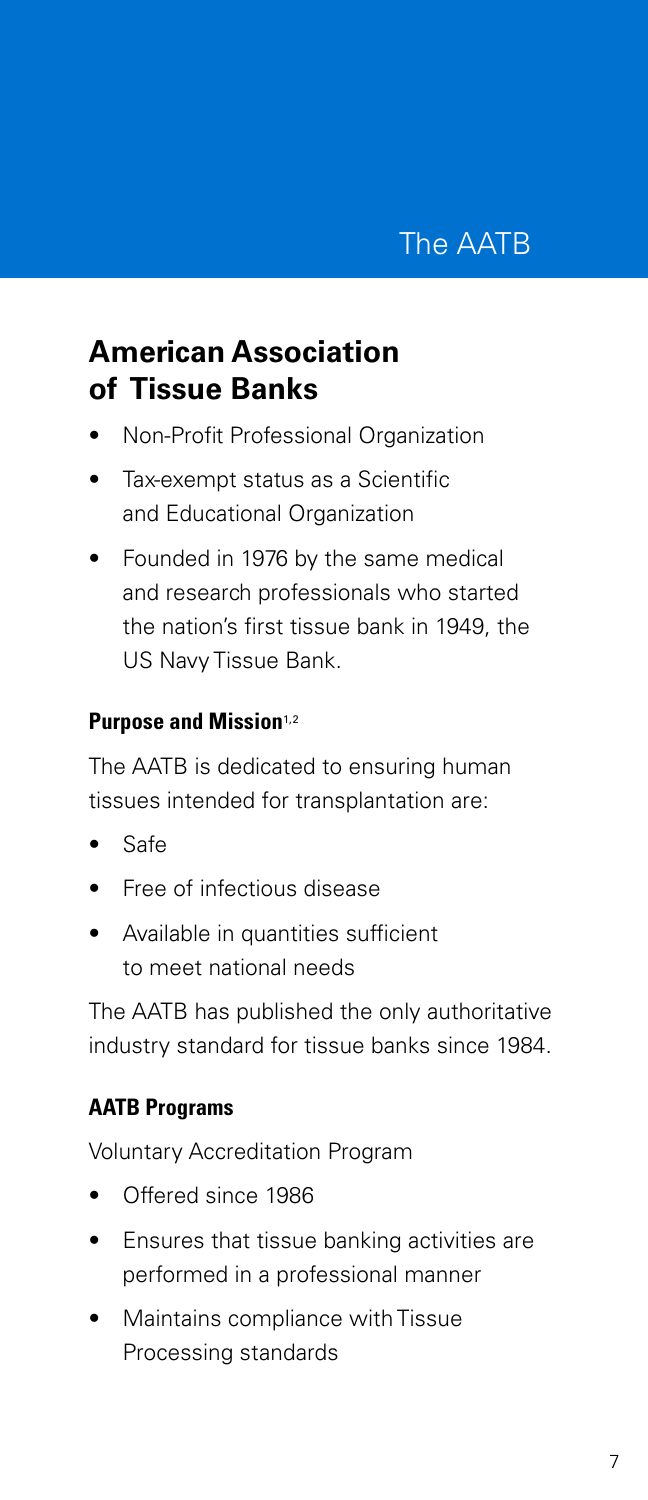## **American Association of Tissue Banks**

- Non-Profit Professional Organization
- Tax-exempt status as a Scientific and Educational Organization
- Founded in 1976 by the same medical and research professionals who started the nation's first tissue bank in 1949, the US Navy Tissue Bank.

#### **Purpose and Mission**<sup>1,2</sup>

The AATB is dedicated to ensuring human tissues intended for transplantation are:

- Safe
- Free of infectious disease
- Available in quantities sufficient to meet national needs

The AATB has published the only authoritative industry standard for tissue banks since 1984.

### **AATB Programs**

Voluntary Accreditation Program

- Offered since 1986
- Ensures that tissue banking activities are performed in a professional manner
- Maintains compliance with Tissue Processing standards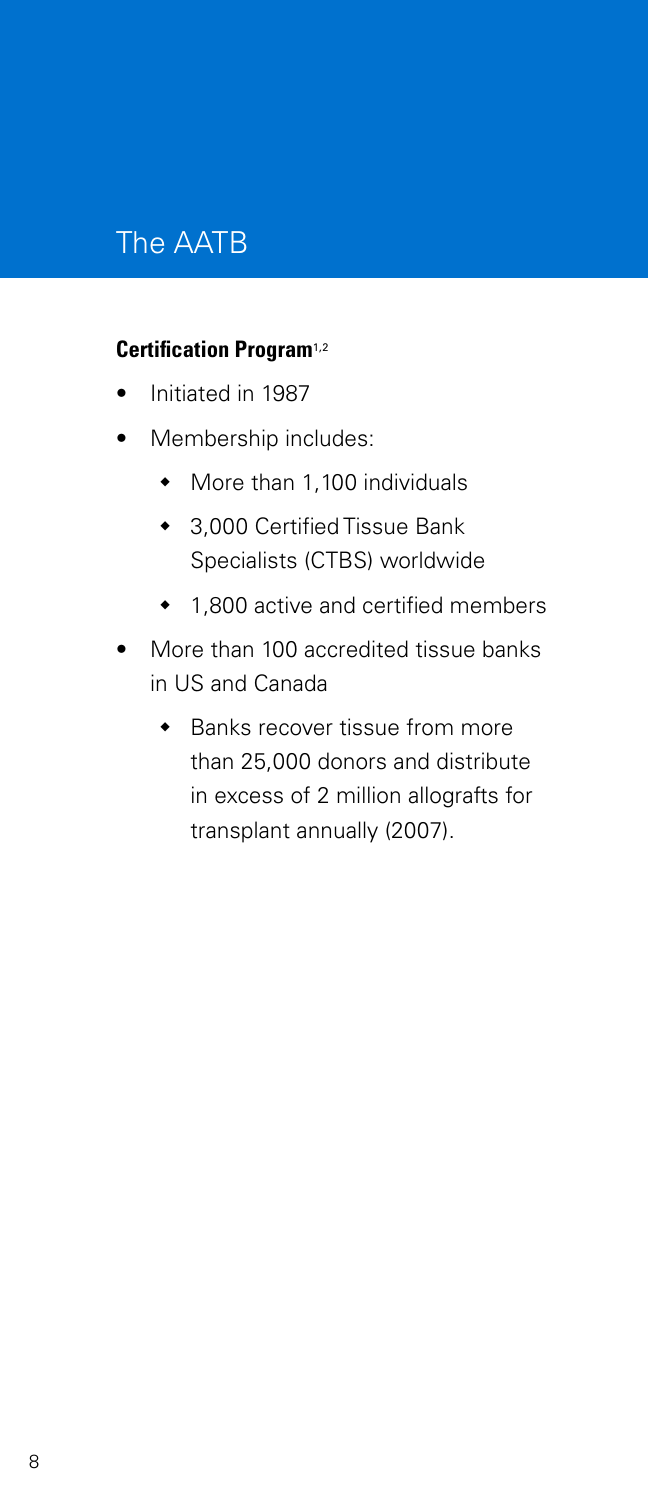## The AATB

#### **Certification Program**1,2

- Initiated in 1987
- Membership includes:
	- More than 1,100 individuals
	- 3,000 Certified Tissue Bank Specialists (CTBS) worldwide
	- 1,800 active and certified members
- More than 100 accredited tissue banks in US and Canada
	- Banks recover tissue from more than 25,000 donors and distribute in excess of 2 million allografts for transplant annually (2007).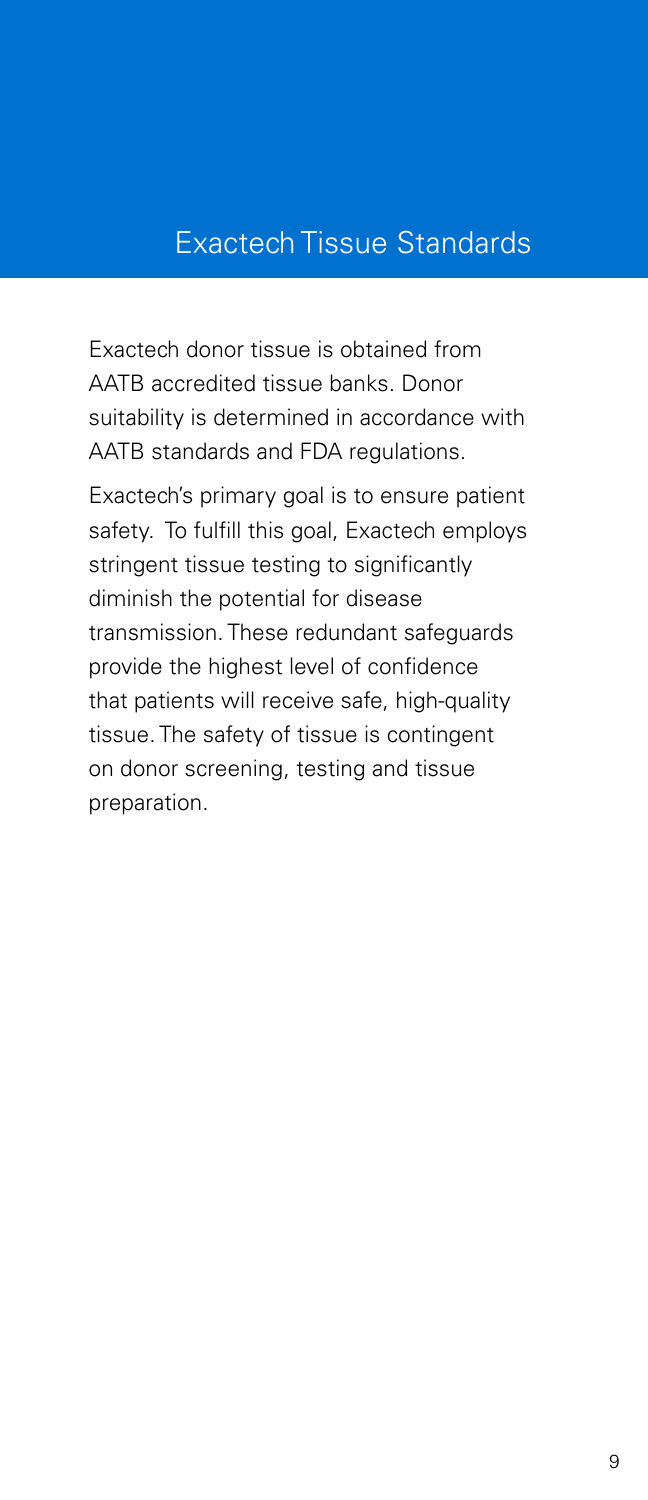Exactech donor tissue is obtained from AATB accredited tissue banks. Donor suitability is determined in accordance with AATB standards and FDA regulations.

Exactech's primary goal is to ensure patient safety. To fulfill this goal, Exactech employs stringent tissue testing to significantly diminish the potential for disease transmission. These redundant safeguards provide the highest level of confidence that patients will receive safe, high-quality tissue. The safety of tissue is contingent on donor screening, testing and tissue preparation.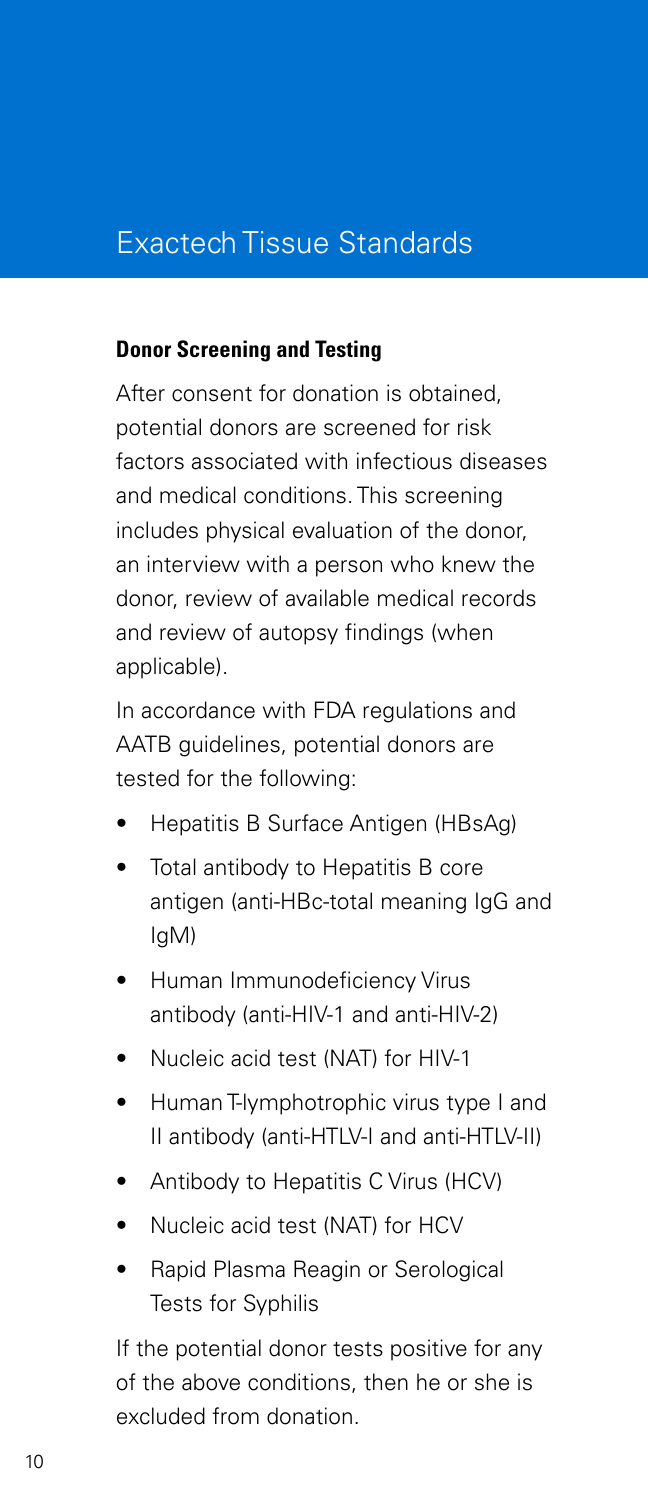#### **Donor Screening and Testing**

After consent for donation is obtained, potential donors are screened for risk factors associated with infectious diseases and medical conditions. This screening includes physical evaluation of the donor, an interview with a person who knew the donor, review of available medical records and review of autopsy findings (when applicable).

In accordance with FDA regulations and AATB guidelines, potential donors are tested for the following:

- Hepatitis B Surface Antigen (HBsAg)
- Total antibody to Hepatitis B core antigen (anti-HBc-total meaning IgG and IgM)
- Human Immunodeficiency Virus antibody (anti-HIV-1 and anti-HIV-2)
- Nucleic acid test (NAT) for HIV-1
- Human T-lymphotrophic virus type I and II antibody (anti-HTLV-I and anti-HTLV-II)
- Antibody to Hepatitis C Virus (HCV)
- Nucleic acid test (NAT) for HCV
- Rapid Plasma Reagin or Serological Tests for Syphilis

If the potential donor tests positive for any of the above conditions, then he or she is excluded from donation.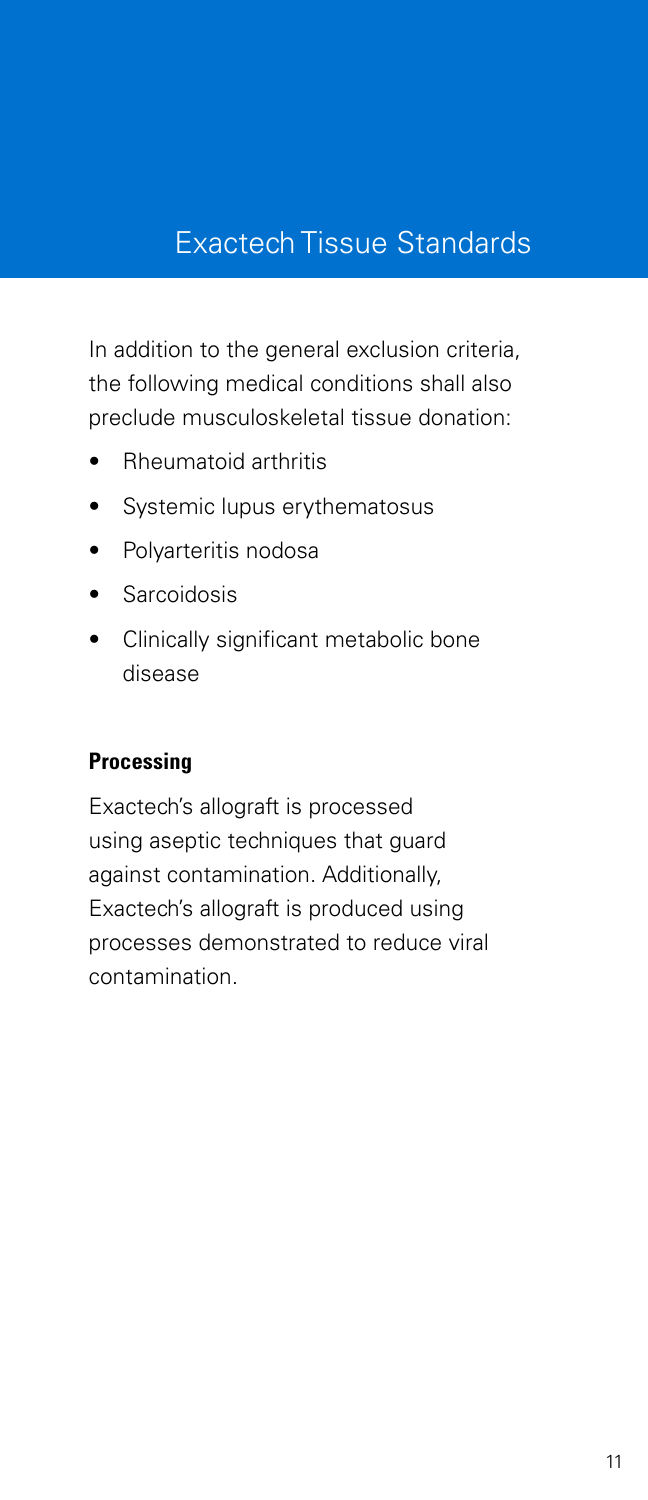In addition to the general exclusion criteria, the following medical conditions shall also preclude musculoskeletal tissue donation:

- Rheumatoid arthritis
- Systemic lupus erythematosus
- Polyarteritis nodosa
- **Sarcoidosis**
- Clinically significant metabolic bone disease

#### **Processing**

Exactech's allograft is processed using aseptic techniques that guard against contamination. Additionally, Exactech's allograft is produced using processes demonstrated to reduce viral contamination.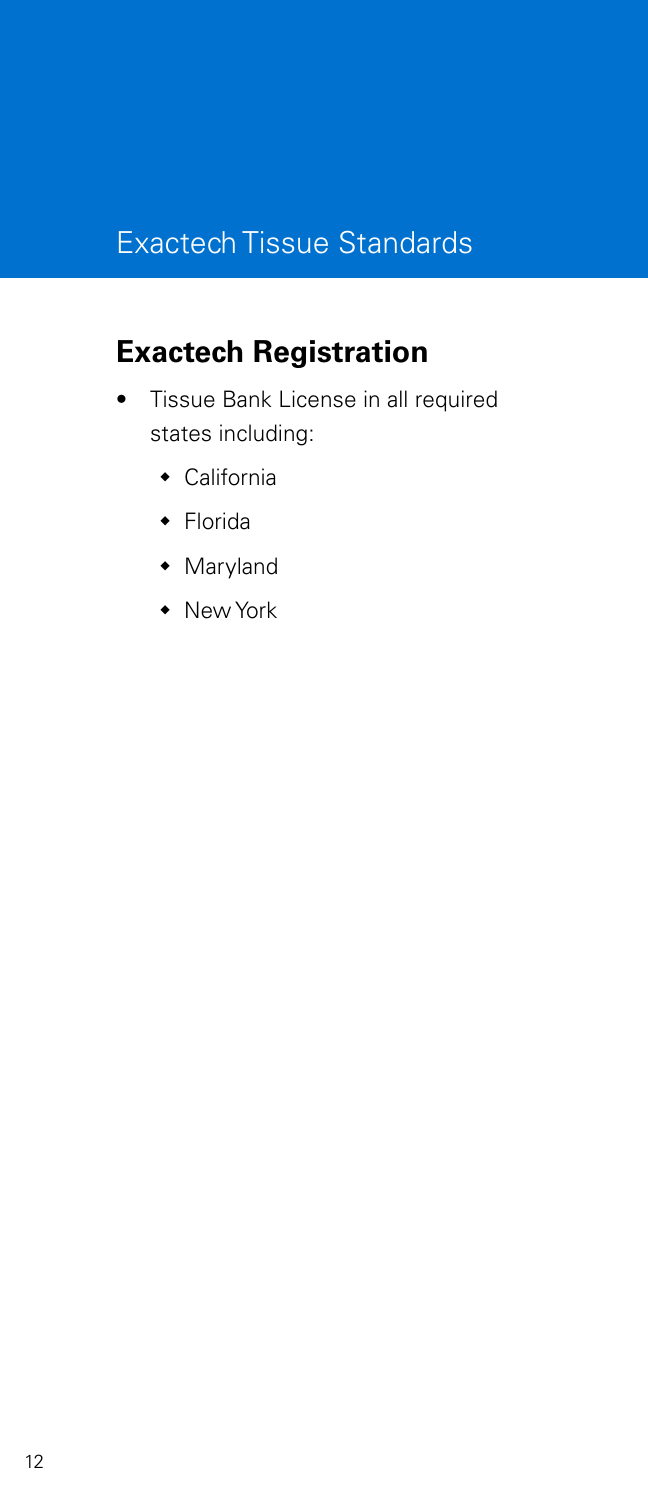## **Exactech Registration**

- Tissue Bank License in all required states including:
	- California
	- Florida
	- Maryland
	- New York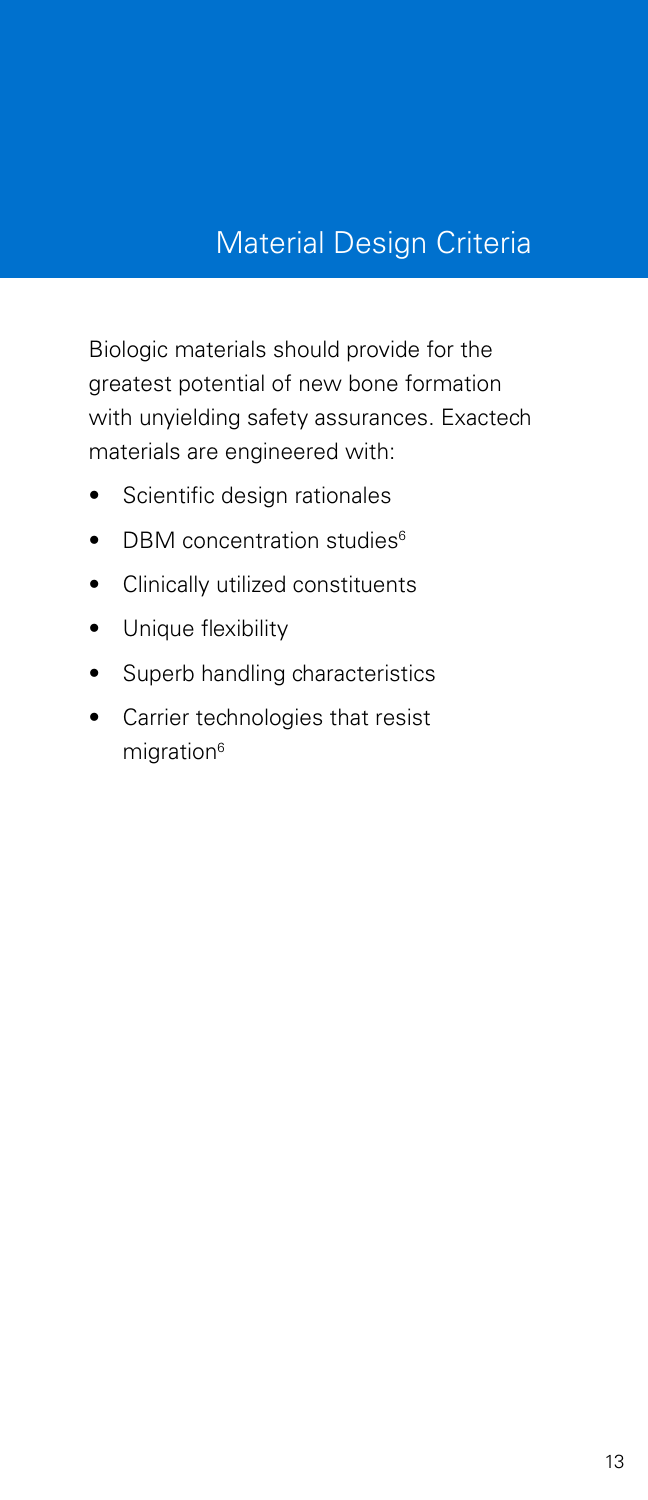## Material Design Criteria

Biologic materials should provide for the greatest potential of new bone formation with unyielding safety assurances. Exactech materials are engineered with:

- Scientific design rationales
- DBM concentration studies<sup>6</sup>
- Clinically utilized constituents
- Unique flexibility
- Superb handling characteristics
- Carrier technologies that resist migration<sup>6</sup>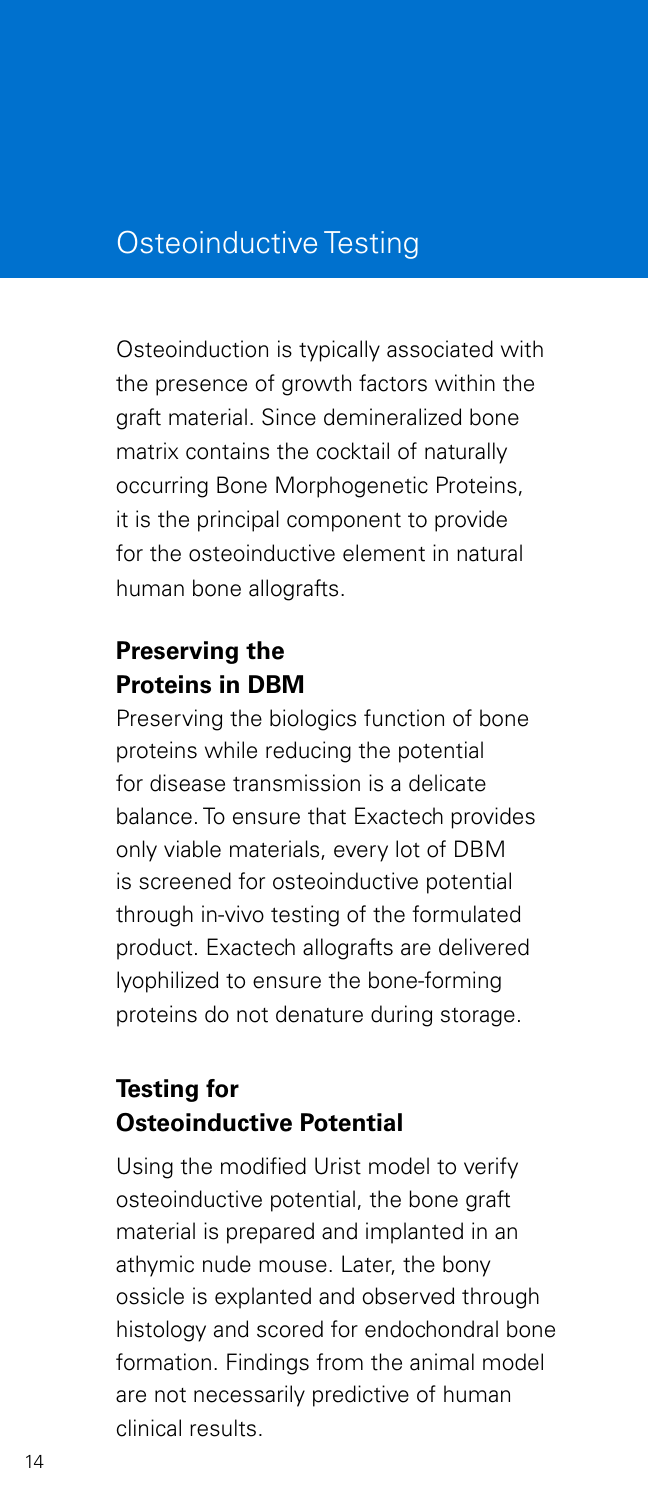### Osteoinductive Testing

Osteoinduction is typically associated with the presence of growth factors within the graft material. Since demineralized bone matrix contains the cocktail of naturally occurring Bone Morphogenetic Proteins, it is the principal component to provide for the osteoinductive element in natural human bone allografts.

### **Preserving the Proteins in DBM**

Preserving the biologics function of bone proteins while reducing the potential for disease transmission is a delicate balance. To ensure that Exactech provides only viable materials, every lot of DBM is screened for osteoinductive potential through in-vivo testing of the formulated product. Exactech allografts are delivered lyophilized to ensure the bone-forming proteins do not denature during storage.

### **Testing for Osteoinductive Potential**

Using the modified Urist model to verify osteoinductive potential, the bone graft material is prepared and implanted in an athymic nude mouse. Later, the bony ossicle is explanted and observed through histology and scored for endochondral bone formation. Findings from the animal model are not necessarily predictive of human clinical results.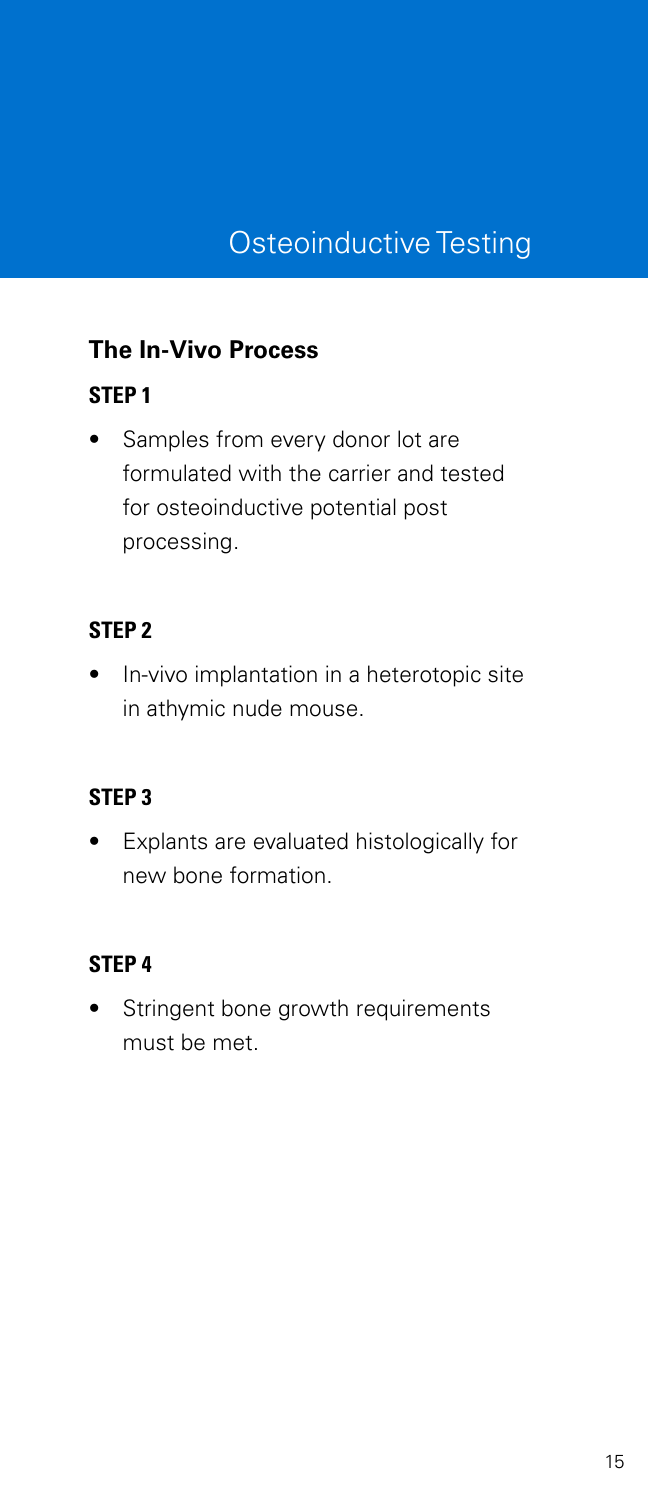### **The In-Vivo Process**

### **STEP 1**

• Samples from every donor lot are formulated with the carrier and tested for osteoinductive potential post processing.

#### **STEP 2**

• In-vivo implantation in a heterotopic site in athymic nude mouse.

#### **STEP 3**

• Explants are evaluated histologically for new bone formation.

#### **STEP 4**

Stringent bone growth requirements must be met.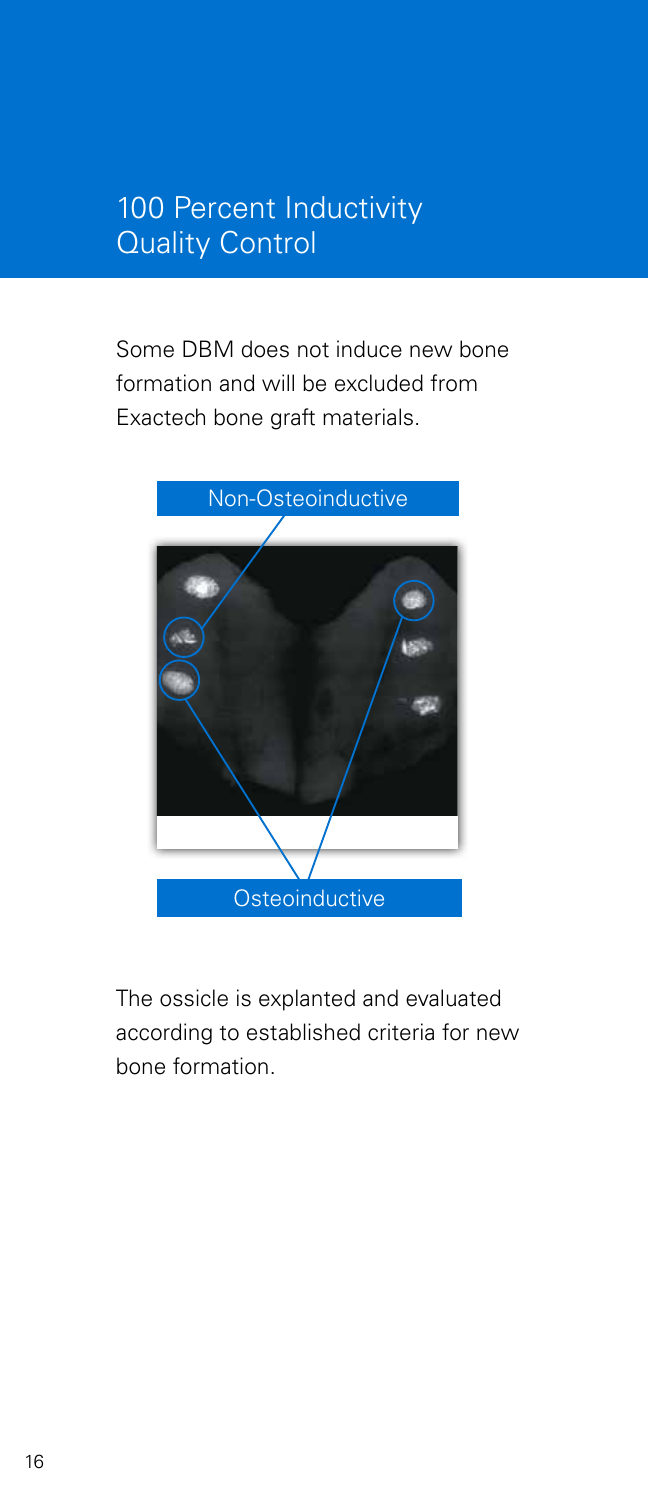## 100 Percent Inductivity Quality Control

Some DBM does not induce new bone formation and will be excluded from Exactech bone graft materials.



The ossicle is explanted and evaluated according to established criteria for new bone formation.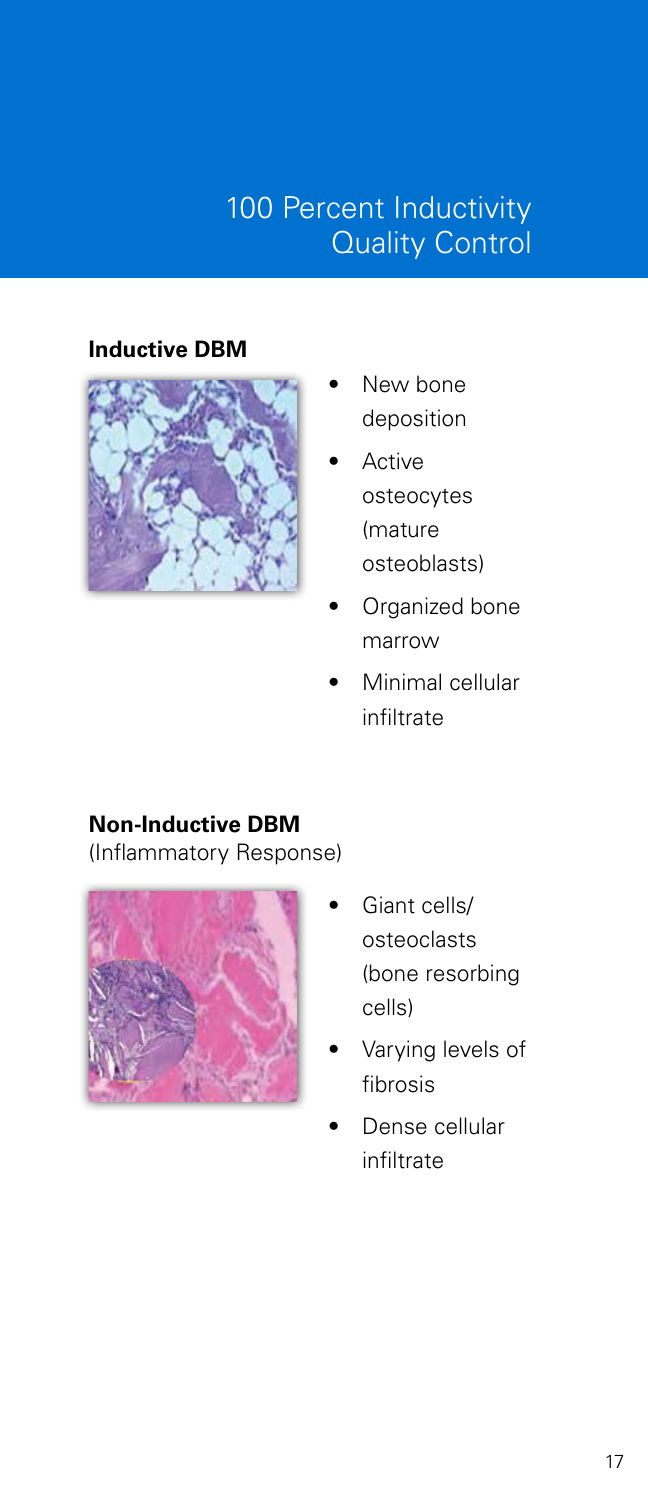## 100 Percent Inductivity Quality Control

#### **Inductive DBM**



- New bone deposition
- **Active** osteocytes (mature osteoblasts)
- Organized bone marrow
- Minimal cellular infiltrate

#### **Non-Inductive DBM**

(Inflammatory Response)



- Giant cells/ osteoclasts (bone resorbing cells)
- Varying levels of fibrosis
- Dense cellular infiltrate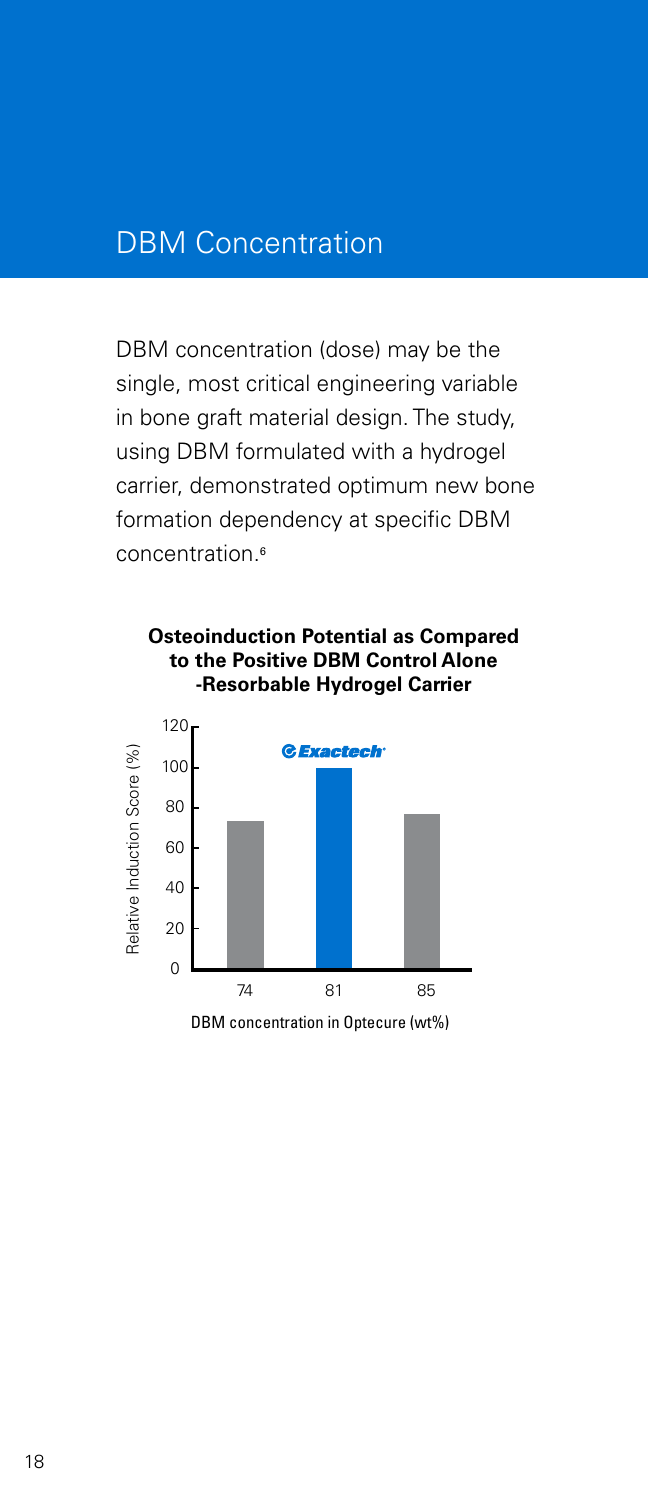### DBM Concentration

DBM concentration (dose) may be the single, most critical engineering variable in bone graft material design. The study, using DBM formulated with a hydrogel carrier, demonstrated optimum new bone formation dependency at specific DBM concentration.<sup>6</sup>

#### **Osteoinduction Potential as Compared to the Positive DBM Control Alone -Resorbable Hydrogel Carrier**



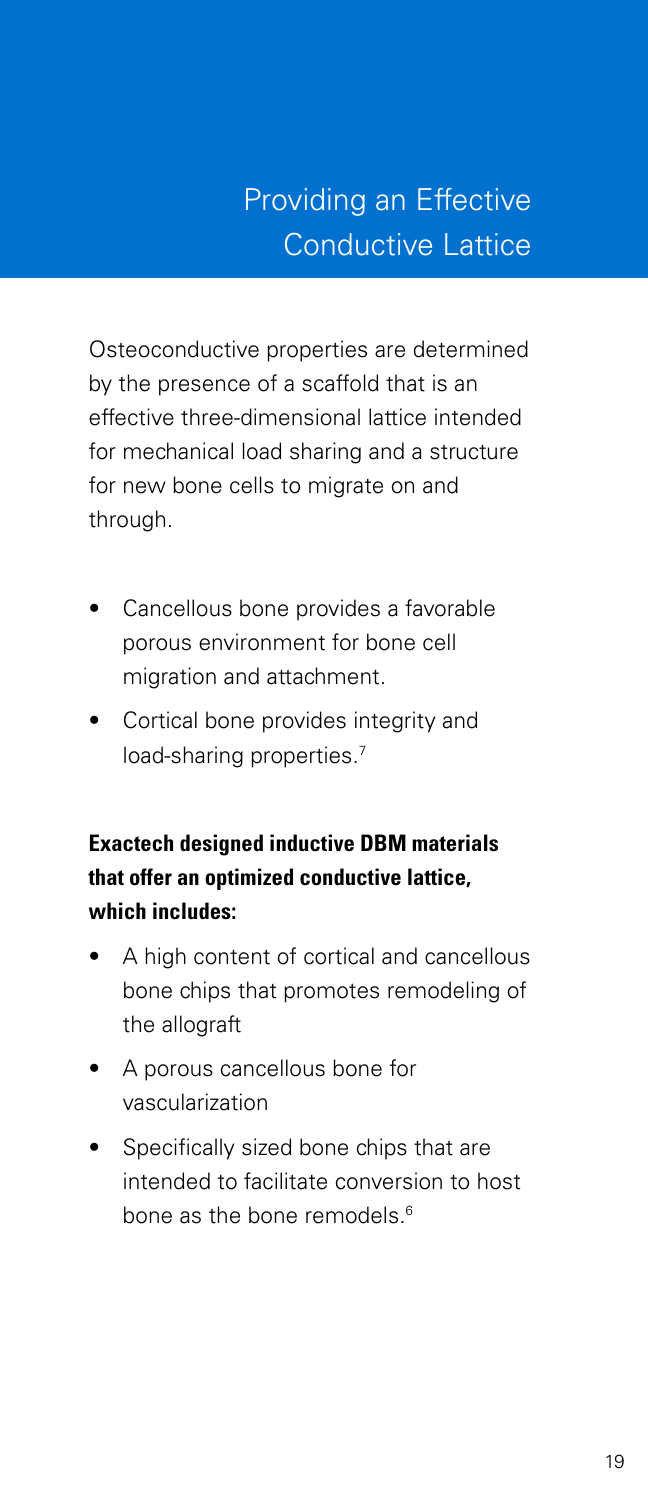# Providing an Effective Conductive Lattice

Osteoconductive properties are determined by the presence of a scaffold that is an effective three-dimensional lattice intended for mechanical load sharing and a structure for new bone cells to migrate on and through.

- Cancellous bone provides a favorable porous environment for bone cell migration and attachment.
- Cortical bone provides integrity and load-sharing properties.<sup>7</sup>

#### **Exactech designed inductive DBM materials that offer an optimized conductive lattice, which includes:**

- A high content of cortical and cancellous bone chips that promotes remodeling of the allograft
- A porous cancellous bone for vascularization
- Specifically sized bone chips that are intended to facilitate conversion to host bone as the bone remodels.<sup>6</sup>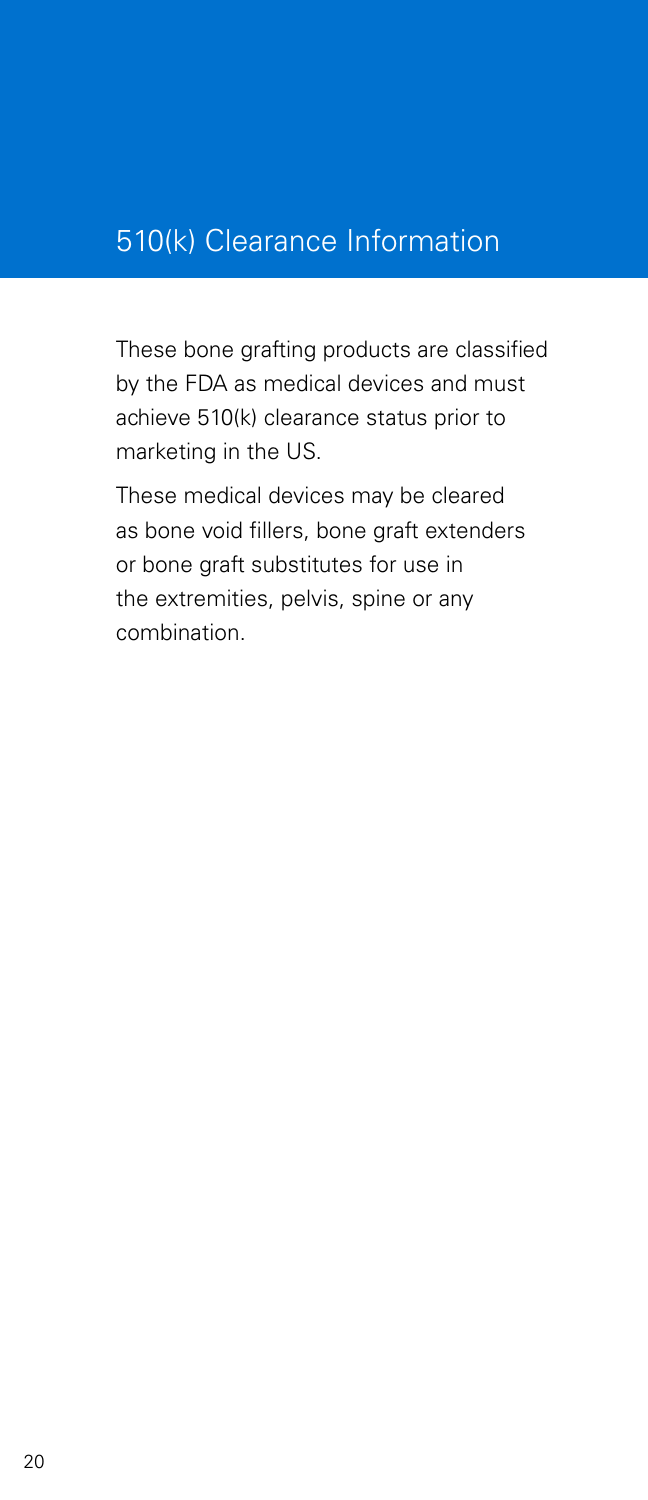## 510(k) Clearance Information

These bone grafting products are classified by the FDA as medical devices and must achieve 510(k) clearance status prior to marketing in the US.

These medical devices may be cleared as bone void fillers, bone graft extenders or bone graft substitutes for use in the extremities, pelvis, spine or any combination.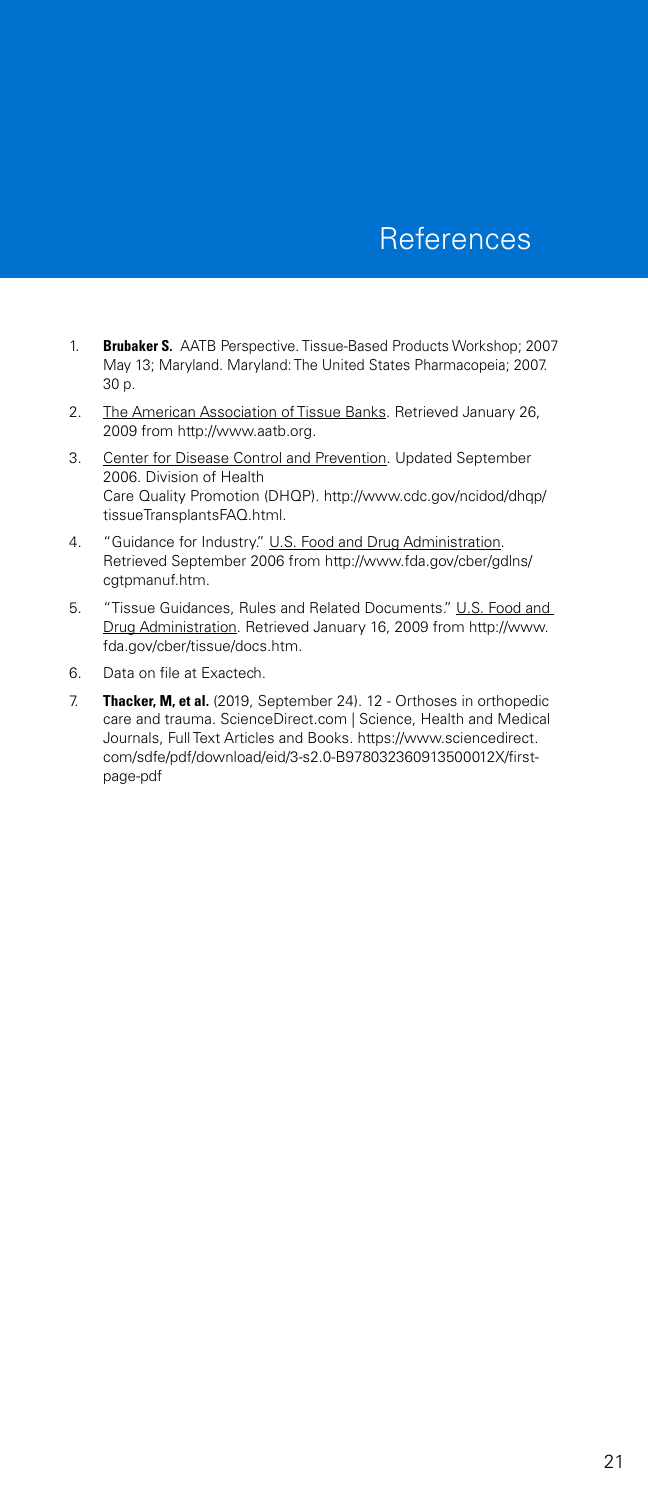- 1. **Brubaker S.** AATB Perspective. Tissue-Based Products Workshop; 2007 May 13; Maryland. Maryland: The United States Pharmacopeia; 2007. 30 p.
- 2. The American Association of Tissue Banks. Retrieved January 26, 2009 from http://www.aatb.org.
- 3. Center for Disease Control and Prevention. Updated September 2006. Division of Health Care Quality Promotion (DHQP). http://www.cdc.gov/ncidod/dhqp/ tissueTransplantsFAQ.html.
- 4. "Guidance for Industry." U.S. Food and Drug Administration. Retrieved September 2006 from http://www.fda.gov/cber/gdlns/ cgtpmanuf.htm.
- 5. "Tissue Guidances, Rules and Related Documents." U.S. Food and Drug Administration. Retrieved January 16, 2009 from http://www. fda.gov/cber/tissue/docs.htm.
- 6. Data on file at Exactech.
- 7. **Thacker, M, et al.** (2019, September 24). 12 Orthoses in orthopedic care and trauma. ScienceDirect.com | Science, Health and Medical Journals, Full Text Articles and Books. https://www.sciencedirect. com/sdfe/pdf/download/eid/3-s2.0-B978032360913500012X/firstpage-pdf